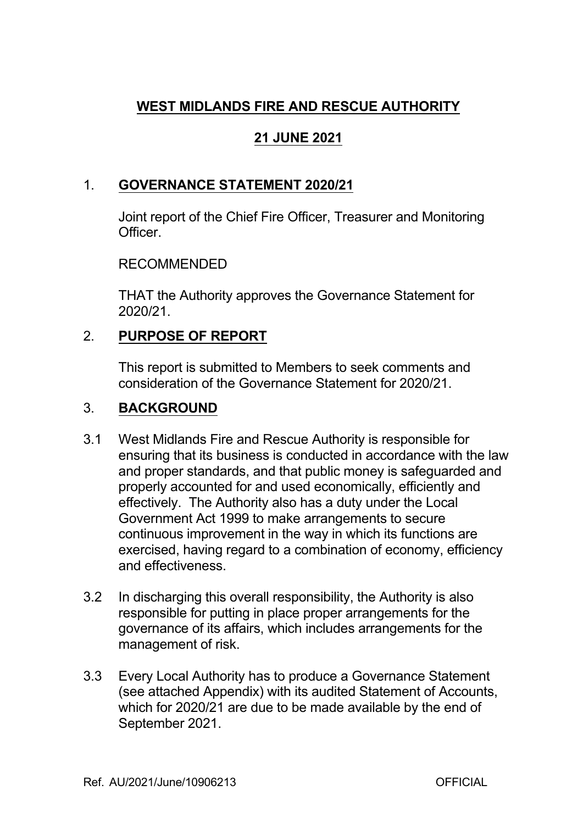## **WEST MIDLANDS FIRE AND RESCUE AUTHORITY**

# **21 JUNE 2021**

## 1. **GOVERNANCE STATEMENT 2020/21**

Joint report of the Chief Fire Officer, Treasurer and Monitoring Officer.

### RECOMMENDED

THAT the Authority approves the Governance Statement for 2020/21.

## 2. **PURPOSE OF REPORT**

This report is submitted to Members to seek comments and consideration of the Governance Statement for 2020/21.

### 3. **BACKGROUND**

- 3.1 West Midlands Fire and Rescue Authority is responsible for ensuring that its business is conducted in accordance with the law and proper standards, and that public money is safeguarded and properly accounted for and used economically, efficiently and effectively. The Authority also has a duty under the Local Government Act 1999 to make arrangements to secure continuous improvement in the way in which its functions are exercised, having regard to a combination of economy, efficiency and effectiveness.
- 3.2 In discharging this overall responsibility, the Authority is also responsible for putting in place proper arrangements for the governance of its affairs, which includes arrangements for the management of risk.
- 3.3 Every Local Authority has to produce a Governance Statement (see attached Appendix) with its audited Statement of Accounts, which for 2020/21 are due to be made available by the end of September 2021.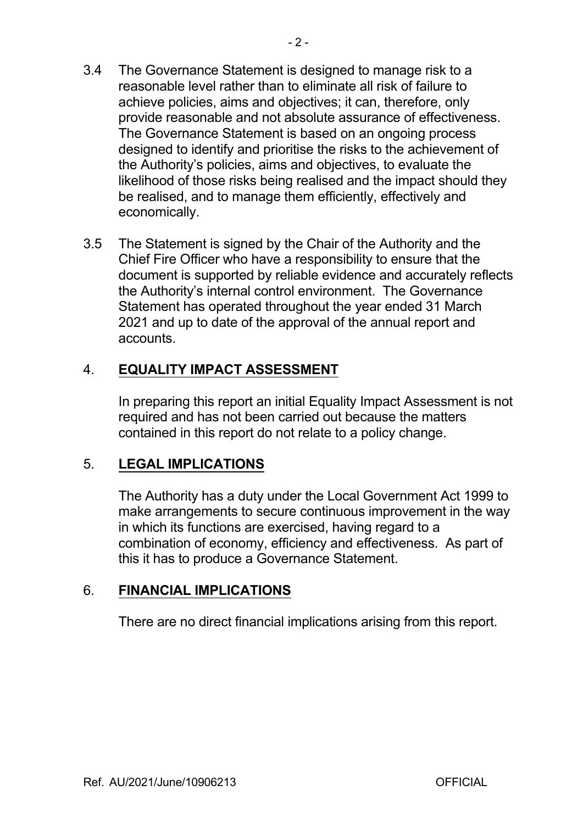- 3.4 The Governance Statement is designed to manage risk to a reasonable level rather than to eliminate all risk of failure to achieve policies, aims and objectives; it can, therefore, only provide reasonable and not absolute assurance of effectiveness. The Governance Statement is based on an ongoing process designed to identify and prioritise the risks to the achievement of the Authority's policies, aims and objectives, to evaluate the likelihood of those risks being realised and the impact should they be realised, and to manage them efficiently, effectively and economically.
- 3.5 The Statement is signed by the Chair of the Authority and the Chief Fire Officer who have a responsibility to ensure that the document is supported by reliable evidence and accurately reflects the Authority's internal control environment. The Governance Statement has operated throughout the year ended 31 March 2021 and up to date of the approval of the annual report and accounts.

## 4. **EQUALITY IMPACT ASSESSMENT**

In preparing this report an initial Equality Impact Assessment is not required and has not been carried out because the matters contained in this report do not relate to a policy change.

### 5. **LEGAL IMPLICATIONS**

The Authority has a duty under the Local Government Act 1999 to make arrangements to secure continuous improvement in the way in which its functions are exercised, having regard to a combination of economy, efficiency and effectiveness. As part of this it has to produce a Governance Statement.

### 6. **FINANCIAL IMPLICATIONS**

There are no direct financial implications arising from this report.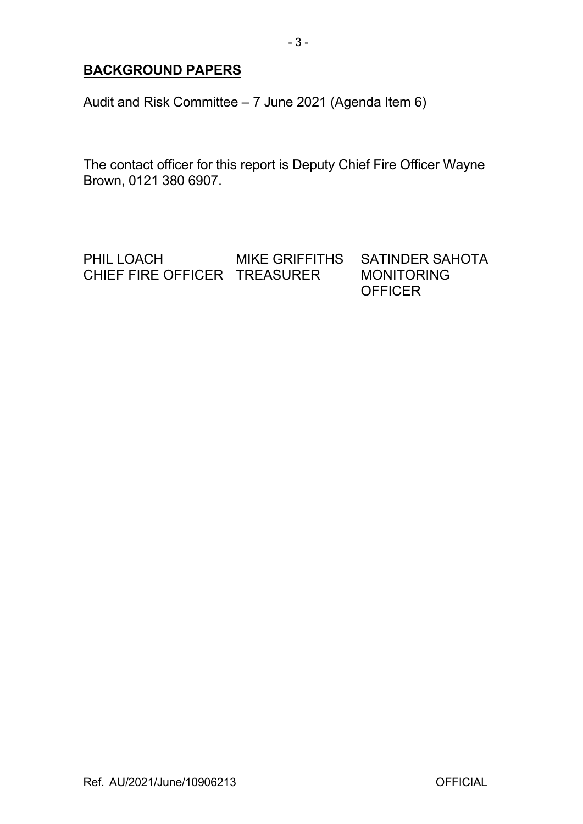## **BACKGROUND PAPERS**

Audit and Risk Committee – 7 June 2021 (Agenda Item 6)

The contact officer for this report is Deputy Chief Fire Officer Wayne Brown, 0121 380 6907.

PHIL LOACH MIKE GRIFFITHS SATINDER SAHOTA CHIEF FIRE OFFICER TREASURER MONITORING **OFFICER**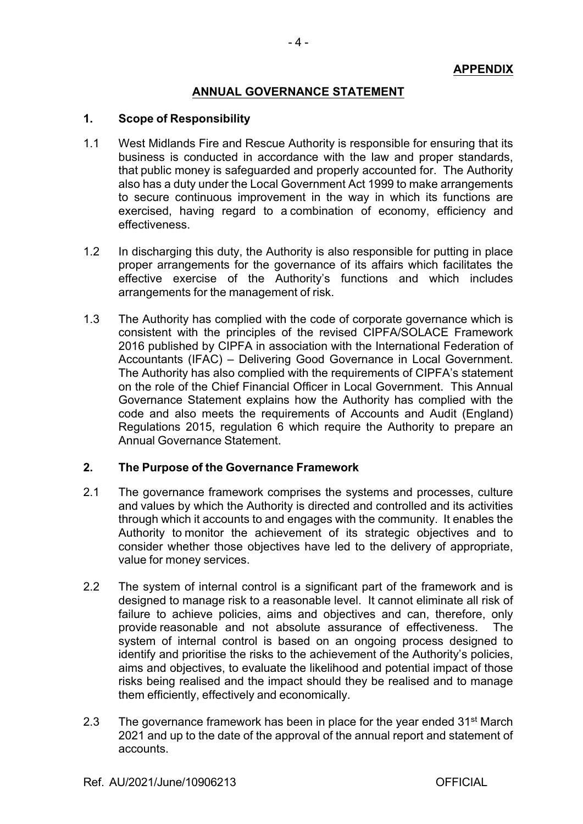### **ANNUAL GOVERNANCE STATEMENT**

#### **1. Scope of Responsibility**

- 1.1 West Midlands Fire and Rescue Authority is responsible for ensuring that its business is conducted in accordance with the law and proper standards, that public money is safeguarded and properly accounted for. The Authority also has a duty under the Local Government Act 1999 to make arrangements to secure continuous improvement in the way in which its functions are exercised, having regard to a combination of economy, efficiency and effectiveness.
- 1.2 In discharging this duty, the Authority is also responsible for putting in place proper arrangements for the governance of its affairs which facilitates the effective exercise of the Authority's functions and which includes arrangements for the management of risk.
- 1.3 The Authority has complied with the code of corporate governance which is consistent with the principles of the revised CIPFA/SOLACE Framework 2016 published by CIPFA in association with the International Federation of Accountants (IFAC) – Delivering Good Governance in Local Government. The Authority has also complied with the requirements of CIPFA's statement on the role of the Chief Financial Officer in Local Government. This Annual Governance Statement explains how the Authority has complied with the code and also meets the requirements of Accounts and Audit (England) Regulations 2015, regulation 6 which require the Authority to prepare an Annual Governance Statement.

### **2. The Purpose of the Governance Framework**

- 2.1 The governance framework comprises the systems and processes, culture and values by which the Authority is directed and controlled and its activities through which it accounts to and engages with the community. It enables the Authority to monitor the achievement of its strategic objectives and to consider whether those objectives have led to the delivery of appropriate, value for money services.
- 2.2 The system of internal control is a significant part of the framework and is designed to manage risk to a reasonable level. It cannot eliminate all risk of failure to achieve policies, aims and objectives and can, therefore, only provide reasonable and not absolute assurance of effectiveness. The system of internal control is based on an ongoing process designed to identify and prioritise the risks to the achievement of the Authority's policies, aims and objectives, to evaluate the likelihood and potential impact of those risks being realised and the impact should they be realised and to manage them efficiently, effectively and economically.
- 2.3 The governance framework has been in place for the year ended 31<sup>st</sup> March 2021 and up to the date of the approval of the annual report and statement of accounts.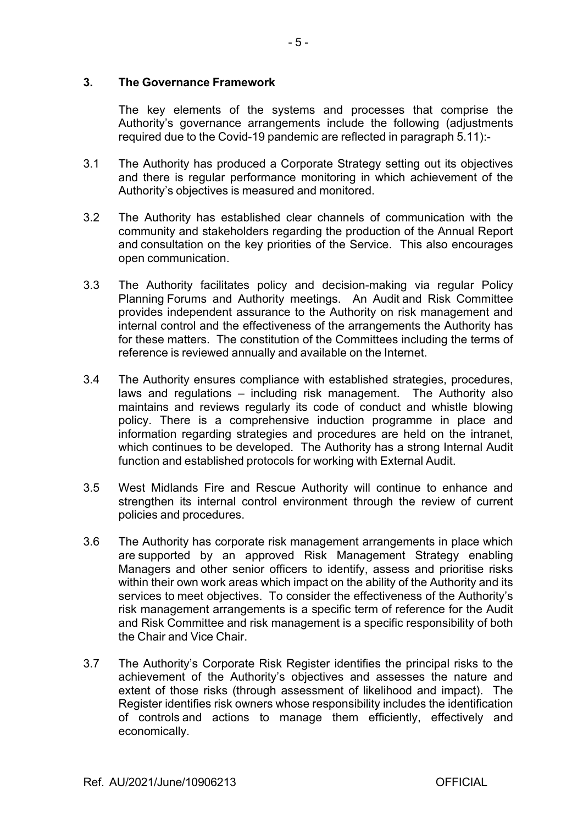### **3. The Governance Framework**

The key elements of the systems and processes that comprise the Authority's governance arrangements include the following (adjustments required due to the Covid-19 pandemic are reflected in paragraph 5.11):-

- 3.1 The Authority has produced a Corporate Strategy setting out its objectives and there is regular performance monitoring in which achievement of the Authority's objectives is measured and monitored.
- 3.2 The Authority has established clear channels of communication with the community and stakeholders regarding the production of the Annual Report and consultation on the key priorities of the Service. This also encourages open communication.
- 3.3 The Authority facilitates policy and decision-making via regular Policy Planning Forums and Authority meetings. An Audit and Risk Committee provides independent assurance to the Authority on risk management and internal control and the effectiveness of the arrangements the Authority has for these matters. The constitution of the Committees including the terms of reference is reviewed annually and available on the Internet.
- 3.4 The Authority ensures compliance with established strategies, procedures, laws and regulations – including risk management. The Authority also maintains and reviews regularly its code of conduct and whistle blowing policy. There is a comprehensive induction programme in place and information regarding strategies and procedures are held on the intranet, which continues to be developed. The Authority has a strong Internal Audit function and established protocols for working with External Audit.
- 3.5 West Midlands Fire and Rescue Authority will continue to enhance and strengthen its internal control environment through the review of current policies and procedures.
- 3.6 The Authority has corporate risk management arrangements in place which are supported by an approved Risk Management Strategy enabling Managers and other senior officers to identify, assess and prioritise risks within their own work areas which impact on the ability of the Authority and its services to meet objectives. To consider the effectiveness of the Authority's risk management arrangements is a specific term of reference for the Audit and Risk Committee and risk management is a specific responsibility of both the Chair and Vice Chair.
- 3.7 The Authority's Corporate Risk Register identifies the principal risks to the achievement of the Authority's objectives and assesses the nature and extent of those risks (through assessment of likelihood and impact). The Register identifies risk owners whose responsibility includes the identification of controls and actions to manage them efficiently, effectively and economically.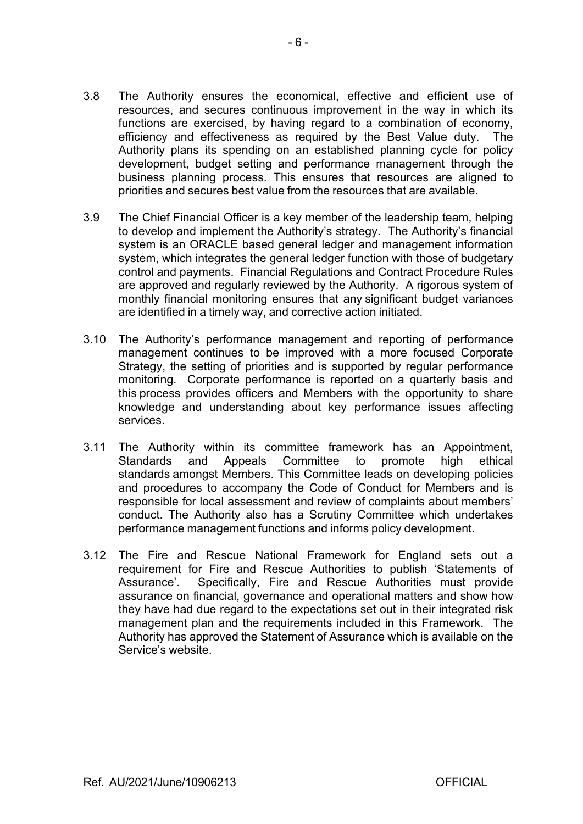- 3.8 The Authority ensures the economical, effective and efficient use of resources, and secures continuous improvement in the way in which its functions are exercised, by having regard to a combination of economy, efficiency and effectiveness as required by the Best Value duty. The Authority plans its spending on an established planning cycle for policy development, budget setting and performance management through the business planning process. This ensures that resources are aligned to priorities and secures best value from the resources that are available.
- 3.9 The Chief Financial Officer is a key member of the leadership team, helping to develop and implement the Authority's strategy. The Authority's financial system is an ORACLE based general ledger and management information system, which integrates the general ledger function with those of budgetary control and payments. Financial Regulations and Contract Procedure Rules are approved and regularly reviewed by the Authority. A rigorous system of monthly financial monitoring ensures that any significant budget variances are identified in a timely way, and corrective action initiated.
- 3.10 The Authority's performance management and reporting of performance management continues to be improved with a more focused Corporate Strategy, the setting of priorities and is supported by regular performance monitoring. Corporate performance is reported on a quarterly basis and this process provides officers and Members with the opportunity to share knowledge and understanding about key performance issues affecting services.
- 3.11 The Authority within its committee framework has an Appointment, Standards and Appeals Committee to promote high ethical standards amongst Members. This Committee leads on developing policies and procedures to accompany the Code of Conduct for Members and is responsible for local assessment and review of complaints about members' conduct. The Authority also has a Scrutiny Committee which undertakes performance management functions and informs policy development.
- 3.12 The Fire and Rescue National Framework for England sets out a requirement for Fire and Rescue Authorities to publish 'Statements of Assurance'. Specifically, Fire and Rescue Authorities must provide assurance on financial, governance and operational matters and show how they have had due regard to the expectations set out in their integrated risk management plan and the requirements included in this Framework. The Authority has approved the Statement of Assurance which is available on the Service's website.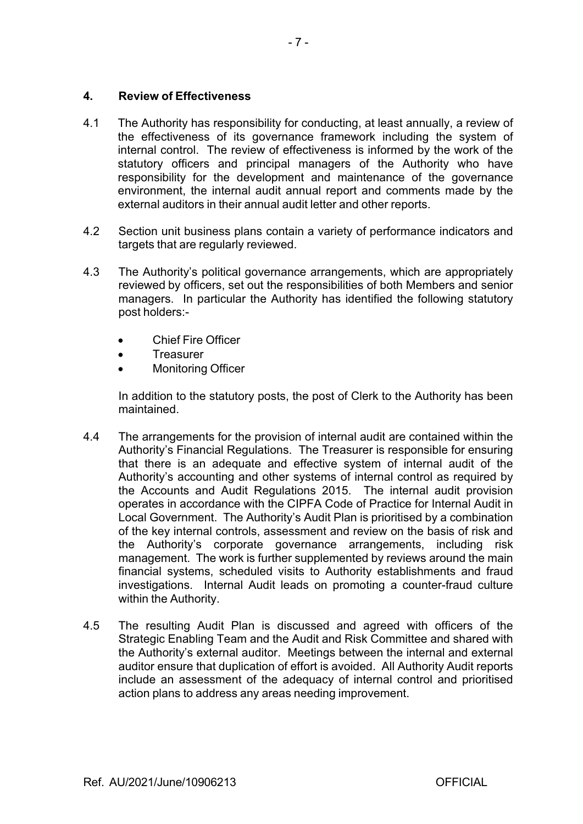### **4. Review of Effectiveness**

- 4.1 The Authority has responsibility for conducting, at least annually, a review of the effectiveness of its governance framework including the system of internal control. The review of effectiveness is informed by the work of the statutory officers and principal managers of the Authority who have responsibility for the development and maintenance of the governance environment, the internal audit annual report and comments made by the external auditors in their annual audit letter and other reports.
- 4.2 Section unit business plans contain a variety of performance indicators and targets that are regularly reviewed.
- 4.3 The Authority's political governance arrangements, which are appropriately reviewed by officers, set out the responsibilities of both Members and senior managers. In particular the Authority has identified the following statutory post holders:
	- Chief Fire Officer
	- **Treasurer**
	- Monitoring Officer

In addition to the statutory posts, the post of Clerk to the Authority has been maintained.

- 4.4 The arrangements for the provision of internal audit are contained within the Authority's Financial Regulations. The Treasurer is responsible for ensuring that there is an adequate and effective system of internal audit of the Authority's accounting and other systems of internal control as required by the Accounts and Audit Regulations 2015. The internal audit provision operates in accordance with the CIPFA Code of Practice for Internal Audit in Local Government. The Authority's Audit Plan is prioritised by a combination of the key internal controls, assessment and review on the basis of risk and the Authority's corporate governance arrangements, including risk management. The work is further supplemented by reviews around the main financial systems, scheduled visits to Authority establishments and fraud investigations. Internal Audit leads on promoting a counter-fraud culture within the Authority.
- 4.5 The resulting Audit Plan is discussed and agreed with officers of the Strategic Enabling Team and the Audit and Risk Committee and shared with the Authority's external auditor. Meetings between the internal and external auditor ensure that duplication of effort is avoided. All Authority Audit reports include an assessment of the adequacy of internal control and prioritised action plans to address any areas needing improvement.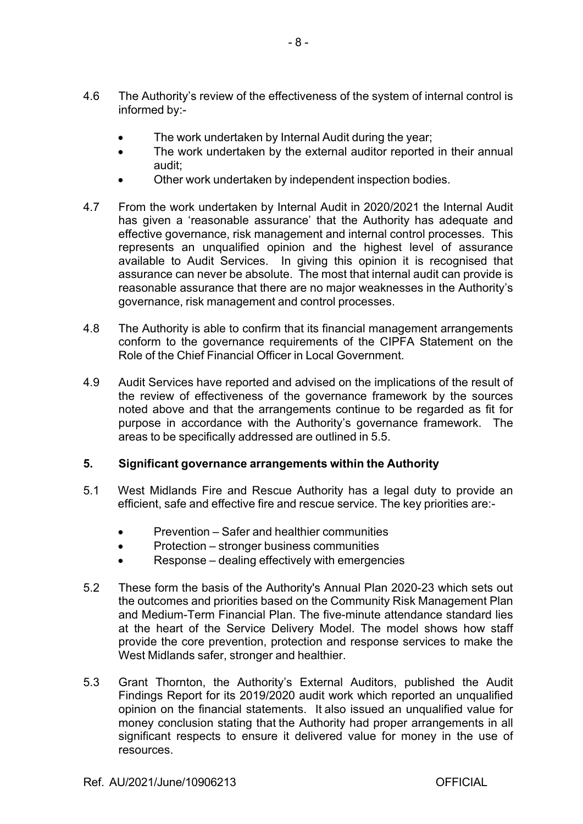- 4.6 The Authority's review of the effectiveness of the system of internal control is informed by:
	- The work undertaken by Internal Audit during the year;
	- The work undertaken by the external auditor reported in their annual audit;
	- Other work undertaken by independent inspection bodies.
- 4.7 From the work undertaken by Internal Audit in 2020/2021 the Internal Audit has given a 'reasonable assurance' that the Authority has adequate and effective governance, risk management and internal control processes. This represents an unqualified opinion and the highest level of assurance available to Audit Services. In giving this opinion it is recognised that assurance can never be absolute. The most that internal audit can provide is reasonable assurance that there are no major weaknesses in the Authority's governance, risk management and control processes.
- 4.8 The Authority is able to confirm that its financial management arrangements conform to the governance requirements of the CIPFA Statement on the Role of the Chief Financial Officer in Local Government.
- 4.9 Audit Services have reported and advised on the implications of the result of the review of effectiveness of the governance framework by the sources noted above and that the arrangements continue to be regarded as fit for purpose in accordance with the Authority's governance framework. The areas to be specifically addressed are outlined in 5.5.

### **5. Significant governance arrangements within the Authority**

- 5.1 West Midlands Fire and Rescue Authority has a legal duty to provide an efficient, safe and effective fire and rescue service. The key priorities are:
	- Prevention Safer and healthier communities
	- Protection stronger business communities
	- Response dealing effectively with emergencies
- 5.2 These form the basis of the Authority's Annual Plan 2020-23 which sets out the outcomes and priorities based on the Community Risk Management Plan and Medium-Term Financial Plan. The five-minute attendance standard lies at the heart of the Service Delivery Model. The model shows how staff provide the core prevention, protection and response services to make the West Midlands safer, stronger and healthier.
- 5.3 Grant Thornton, the Authority's External Auditors, published the Audit Findings Report for its 2019/2020 audit work which reported an unqualified opinion on the financial statements. It also issued an unqualified value for money conclusion stating that the Authority had proper arrangements in all significant respects to ensure it delivered value for money in the use of resources.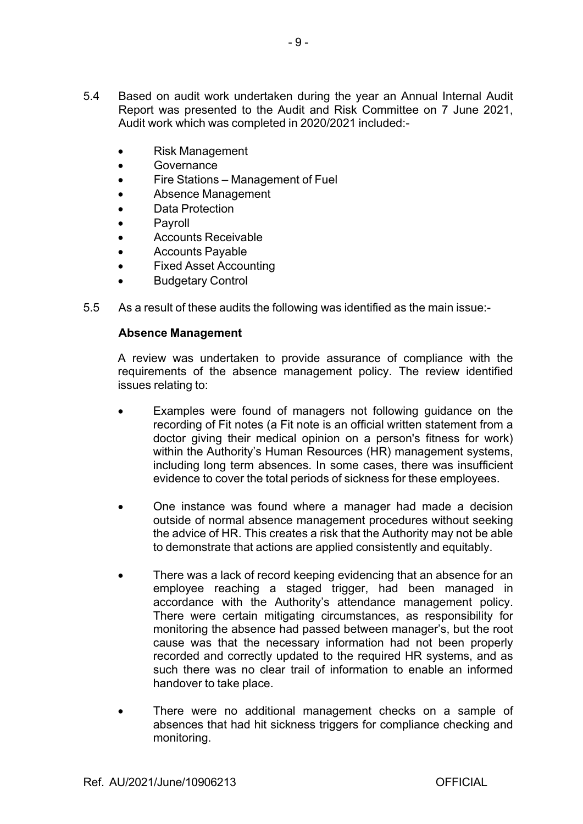- 5.4 Based on audit work undertaken during the year an Annual Internal Audit Report was presented to the Audit and Risk Committee on 7 June 2021, Audit work which was completed in 2020/2021 included:
	- Risk Management
	- **•** Governance
	- Fire Stations Management of Fuel
	- Absence Management
	- Data Protection
	- Payroll
	- Accounts Receivable
	- Accounts Payable
	- Fixed Asset Accounting
	- Budgetary Control
- 5.5 As a result of these audits the following was identified as the main issue:

#### **Absence Management**

A review was undertaken to provide assurance of compliance with the requirements of the absence management policy. The review identified issues relating to:

- Examples were found of managers not following guidance on the recording of Fit notes (a Fit note is an official written statement from a doctor giving their medical opinion on a person's fitness for work) within the Authority's Human Resources (HR) management systems, including long term absences. In some cases, there was insufficient evidence to cover the total periods of sickness for these employees.
- One instance was found where a manager had made a decision outside of normal absence management procedures without seeking the advice of HR. This creates a risk that the Authority may not be able to demonstrate that actions are applied consistently and equitably.
- There was a lack of record keeping evidencing that an absence for an employee reaching a staged trigger, had been managed in accordance with the Authority's attendance management policy. There were certain mitigating circumstances, as responsibility for monitoring the absence had passed between manager's, but the root cause was that the necessary information had not been properly recorded and correctly updated to the required HR systems, and as such there was no clear trail of information to enable an informed handover to take place.
- There were no additional management checks on a sample of absences that had hit sickness triggers for compliance checking and monitoring.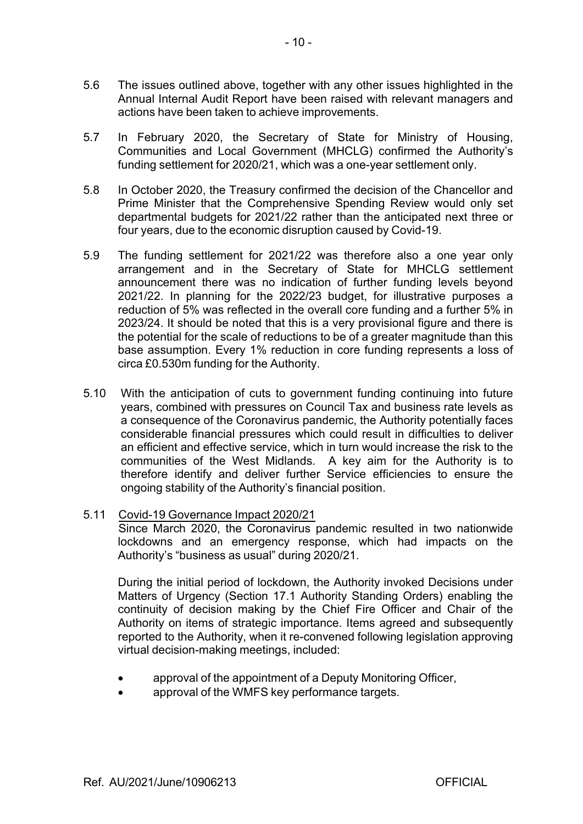- 5.6 The issues outlined above, together with any other issues highlighted in the Annual Internal Audit Report have been raised with relevant managers and actions have been taken to achieve improvements.
- 5.7 In February 2020, the Secretary of State for Ministry of Housing, Communities and Local Government (MHCLG) confirmed the Authority's funding settlement for 2020/21, which was a one-year settlement only.
- 5.8 In October 2020, the Treasury confirmed the decision of the Chancellor and Prime Minister that the Comprehensive Spending Review would only set departmental budgets for 2021/22 rather than the anticipated next three or four years, due to the economic disruption caused by Covid-19.
- 5.9 The funding settlement for 2021/22 was therefore also a one year only arrangement and in the Secretary of State for MHCLG settlement announcement there was no indication of further funding levels beyond 2021/22. In planning for the 2022/23 budget, for illustrative purposes a reduction of 5% was reflected in the overall core funding and a further 5% in 2023/24. It should be noted that this is a very provisional figure and there is the potential for the scale of reductions to be of a greater magnitude than this base assumption. Every 1% reduction in core funding represents a loss of circa £0.530m funding for the Authority.
- 5.10 With the anticipation of cuts to government funding continuing into future years, combined with pressures on Council Tax and business rate levels as a consequence of the Coronavirus pandemic, the Authority potentially faces considerable financial pressures which could result in difficulties to deliver an efficient and effective service, which in turn would increase the risk to the communities of the West Midlands. A key aim for the Authority is to therefore identify and deliver further Service efficiencies to ensure the ongoing stability of the Authority's financial position.
- 5.11 Covid-19 Governance Impact 2020/21

Since March 2020, the Coronavirus pandemic resulted in two nationwide lockdowns and an emergency response, which had impacts on the Authority's "business as usual" during 2020/21.

During the initial period of lockdown, the Authority invoked Decisions under Matters of Urgency (Section 17.1 Authority Standing Orders) enabling the continuity of decision making by the Chief Fire Officer and Chair of the Authority on items of strategic importance. Items agreed and subsequently reported to the Authority, when it re-convened following legislation approving virtual decision-making meetings, included:

- approval of the appointment of a Deputy Monitoring Officer,
- approval of the WMFS key performance targets.